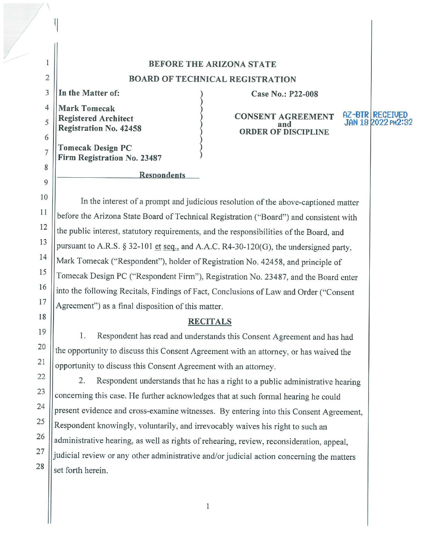## **BEFORE THE ARIZONA STATE BOARD OF TECHNICAL REGISTRATION**

3 **In the Matter of:** 

 $\mathcal{L}$ 

2

 $\mathbf{1}$ 

7

8

9

4 5 6 **Mark Tomecak Registered Architect Registration No. 42458** 

**Tomecak Design PC Firm Registration No. 23487** 

# ase No.: P22-008<br>
a CONSENT AGREEME and **ORDER OF DISCIPLINE**

# **AZ-BTR RECEIVED<br>JAN 18 2022 PM2:32**

10 11 12 13 14 15 16 17 In the interest of a prompt and judicious resolution of the above-captioned matter before the Arizona State Board of Technical Registration ("Board") and consistent with the public interest, statutory requirements, and the responsibilities of the Board, and pursuant to A.R.S. § 32-101 et seq., and A.A.C. R4-30-120(G), the undersigned party, Mark Tomecak ("Respondent"), holder of Registration No. 42458, and principle of Tomecak Design PC ("Respondent Finn"), Registration No. 23487, and the Board enter into the following Recitals, Findings of Fact, Conclusions of Law and Order ("Consent Agreement") as a final disposition of this matter.

**Resnondents** 

#### **RECITALS**

1. Respondent has read and understands this Consent Agreement and has had the opportunity to discuss this Consent Agreement with an attorney, or has waived the opportunity to discuss this Consent Agreement with an attorney.

2. Respondent understands that he has a right to a public administrative hearing concerning this case. He further acknowledges that at such formal hearing he could present evidence and cross-examine witnesses. By entering into this Consent Agreement, Respondent knowingly, voluntarily, and irrevocably waives his right to such an administrative hearing, as well as rights of rehearing, review, reconsideration, appeal,  $27$  || judicial review or any other administrative and/or judicial action concerning the matters  $28$  set forth herein.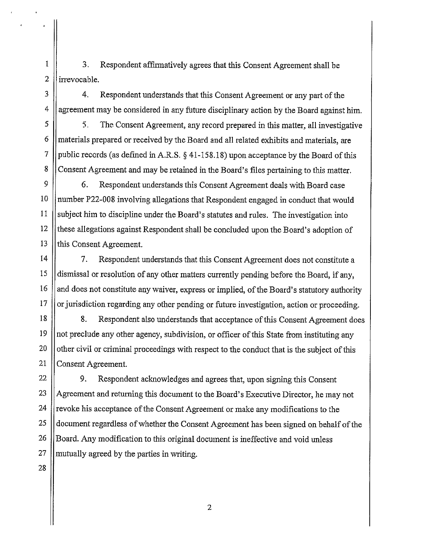1 | 3. Respondent affirmatively agrees that this Consent Agreement shall be  $2$  lirrevocable.

3 | 4. Respondent understands that this Consent Agreement or any part of the  $4 \parallel$  agreement may be considered in any future disciplinary action by the Board against him.

 $5 \parallel$  5. The Consent Agreement, any record prepared in this matter, all investigative  $6 \parallel$  materials prepared or received by the Board and all related exhibits and materials, are 7 | public records (as defined in A.R.S.  $\S$  41-158.18) upon acceptance by the Board of this 8 Consent Agreement and may be retained in the Board's files pertaining to this matter.

9 | 6. Respondent understands this Consent Agreement deals with Board case 10 | number P22-008 involving allegations that Respondent engaged in conduct that would 11 | subject him to discipline under the Board's statutes and rules. The investigation into 12 | these allegations against Respondent shall be concluded upon the Board's adoption of 13 || this Consent Agreement.

14 7. Respondent understands that this Consent Agreement does not constitute a 15 dismissal or resolution of any other matters currently pending before the Board, if any, 16  $\parallel$  and does not constitute any waiver, express or implied, of the Board's statutory authority  $17$  || or jurisdiction regarding any other pending or future investigation, action or proceeding.

18 || 8. Respondent also understands that acceptance of this Consent Agreement does 19 not preclude any other agency, subdivision, or officer of this State from instituting any 20  $\parallel$  other civil or criminal proceedings with respect to the conduct that is the subject of this 21 Consent Agreement.

22 | 9. Respondent acknowledges and agrees that, upon signing this Consent || Agreement and returning this document to the Board's Executive Director, he may not  $\vert$  revoke his acceptance of the Consent Agreement or make any modifications to the 25 document regardless of whether the Consent Agreement has been signed on behalf of the Solard. Any modification to this original document is ineffective and void unless || mutually agreed by the parties in writing.

28

2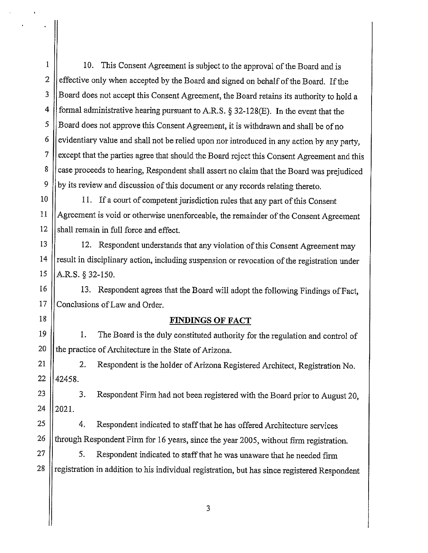1 | 10. This Consent Agreement is subject to the approval of the Board and is 2  $\parallel$  effective only when accepted by the Board and signed on behalf of the Board. If the 3 |Board does not accept this Consent Agreement, the Board retains its authority to hold a 4 | formal administrative hearing pursuant to A.R.S. § 32-128(E). In the event that the 5 S S Board does not approve this Consent Agreement, it is withdrawn and shall be of no 6 evidentiary value and shall not be relied upon nor introduced in any action by any party, 7 | except that the parties agree that should the Board reject this Consent Agreement and this 8 case proceeds to hearing, Respondent shall assert no claim that the Board was prejudiced 9  $\parallel$  by its review and discussion of this document or any records relating thereto.

10 | 11. If a court of competent jurisdiction rules that any part of this Consent 11 Agreement is void or otherwise unenforceable, the remainder of the Consent Agreement  $12$  shall remain in full force and effect.

13 12. Respondent understands that any violation of this Consent Agreement may  $14$  ||result in disciplinary action, including suspension or revocation of the registration under  $15$  || A.R.S. § 32-150.

16 || 13. Respondent agrees that the Board will adopt the following Findings of Fact, 17 Conclusions of Law and Order.

18

#### **FINDINGS OF FACT**

19 1. The Board is the duly constituted authority for the regulation and control of 20  $\parallel$  the practice of Architecture in the State of Arizona.

21 | 2. Respondent is the holder of Arizona Registered Architect, Registration No.  $22$  | 42458.

 $23$  || 3. Respondent Firm had not been registered with the Board prior to August 20, 24  $|2021.$ 

 $25$  || 4. Respondent indicated to staff that he has offered Architecture services 26  $\parallel$  through Respondent Firm for 16 years, since the year 2005, without firm registration.

 $27 \parallel$  5. Respondent indicated to staff that he was unaware that he needed firm  $28$  || registration in addition to his individual registration, but has since registered Respondent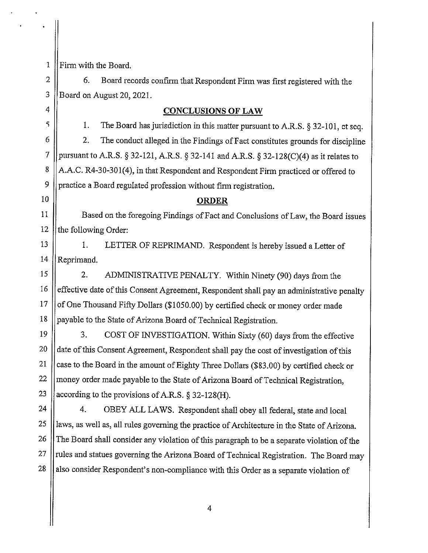1 **Firm with the Board.** 

 $2 \parallel$  6. Board records confirm that Respondent Firm was first registered with the 3 Board on August 20, 2021.

### 4 **CONCLUSIONS OF LAW**

 $\begin{bmatrix} 5 \end{bmatrix}$  1. The Board has jurisdiction in this matter pursuant to A.R.S. § 32-101, et seq.  $6 \parallel$  2. The conduct alleged in the Findings of Fact constitutes grounds for discipline 7 | pursuant to A.R.S. § 32-121, A.R.S. § 32-141 and A.R.S. § 32-128(C)(4) as it relates to 8 | A.A.C. R4-30-301(4), in that Respondent and Respondent Firm practiced or offered to 9 | practice a Board regulated profession without firm registration.

### 10 **ORDER**

11 Based on the foregoing Findings of Fact and Conclusions of Law, the Board issues 12  $\parallel$  the following Order:

13 | 1. LETTER OF REPRIMAND. Respondent is hereby issued a Letter of 14  $\vert$  Reprimand.

15 | 2. ADMINISTRATIVE PENALTY. Within Ninety (90) days from the 16  $\parallel$  effective date of this Consent Agreement, Respondent shall pay an administrative penalty 17  $\vert\vert$  of One Thousand Fifty Dollars (\$1050.00) by certified check or money order made 18 || payable to the State of Arizona Board of Technical Registration.

19 | 3. COST OF INVESTIGATION. Within Sixty (60) days from the effective 20 | date of this Consent Agreement, Respondent shall pay the cost of investigation of this 21  $\parallel$  case to the Board in the amount of Eighty Three Dollars (\$83.00) by certified check or  $22$  ||money order made payable to the State of Arizona Board of Technical Registration, 23 || according to the provisions of A.R.S. § 32-128(H).

24 | 4. OBEY ALL LAWS. Respondent shall obey all federal, state and local 25 || laws, as well as, all rules governing the practice of Architecture in the State of Arizona. 26 The Board shall consider any violation of this paragraph to be a separate violation of the  $27$  ||rules and statues governing the Arizona Board of Technical Registration. The Board may  $28$  || also consider Respondent's non-compliance with this Order as a separate violation of

4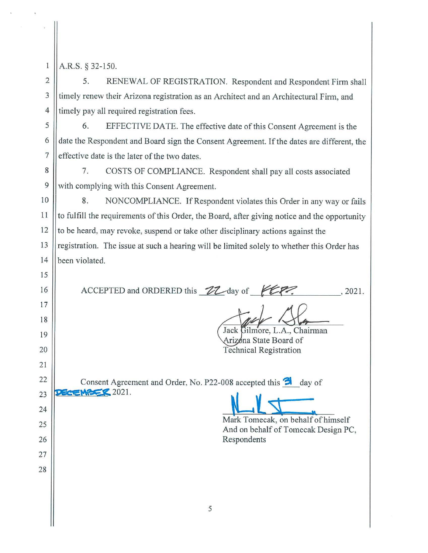| ń |  |  |
|---|--|--|
|   |  |  |
|   |  |  |
|   |  |  |

15

16

17

18

19

20

21

22

23

24

25

26

27

28

A.R.S. § 32-150.

2 | 5. RENEWAL OF REGISTRATION. Respondent and Respondent Firm shall 3 I timely renew their Arizona registration as an Architect and an Architectural Firm, and 4 limely pay all required registration fees.

5 | 6. EFFECTIVE DATE. The effective date of this Consent Agreement is the  $\frac{6}{6}$  date the Respondent and Board sign the Consent Agreement. If the dates are different, the  $7$  effective date is the later of the two dates.

8 | 7. COSTS OF COMPLIANCE. Respondent shall pay all costs associated 9 With complying with this Consent Agreement.

10 || 8. NONCOMPLIANCE. If Respondent violates this Order in any way or fails 11  $\parallel$  to fulfill the requirements of this Order, the Board, after giving notice and the opportunity 12  $\parallel$  to be heard, may revoke, suspend or take other disciplinary actions against the 13 || registration. The issue at such a hearing will be limited solely to whether this Order has 14 been violated.

ACCEPTED and ORDERED this  $ZZ$ -day of  $KZ$ ? . 2021.

Jack Gilmore, L.A., Chairman

Arizona State Board of Technical Registration

Consent Agreement and Order, No. P22-008 accepted this  $\mathbf{\hat{B}}$  day of **DECEMBER 2021.** 

Mark Tomecak, on behalf of himself And on behalf of Tomecak Design PC, Respondents